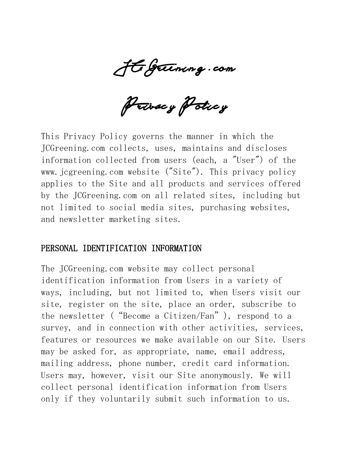JCGreening . com

Privacy Policy

This Privacy Policy governs the manner in which the JCGreening.com collects, uses, maintains and discloses information collected from users (each, a "User") of the www.jcgreening.com website ("Site"). This privacy policy applies to the Site and all products and services offered by the JCGreening.com on all related sites, including but not limited to social media sites, purchasing websites, and newsletter marketing sites.

#### PERSONAL IDENTIFICATION INFORMATION

The JCGreening.com website may collect personal identification information from Users in a variety of ways, including, but not limited to, when Users visit our site, register on the site, place an order, subscribe to the newsletter ("Become a Citizen/Fan"), respond to a survey, and in connection with other activities, services, features or resources we make available on our Site. Users may be asked for, as appropriate, name, email address, mailing address, phone number, credit card information. Users may, however, visit our Site anonymously. We will collect personal identification information from Users only if they voluntarily submit such information to us.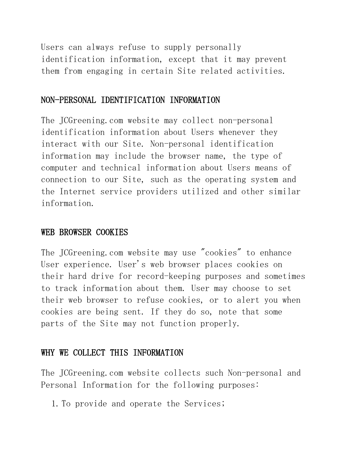Users can always refuse to supply personally identification information, except that it may prevent them from engaging in certain Site related activities.

## NON-PERSONAL IDENTIFICATION INFORMATION

The JCGreening.com website may collect non-personal identification information about Users whenever they interact with our Site. Non-personal identification information may include the browser name, the type of computer and technical information about Users means of connection to our Site, such as the operating system and the Internet service providers utilized and other similar information.

### WEB BROWSER COOKIES

The JCGreening.com website may use "cookies" to enhance User experience. User's web browser places cookies on their hard drive for record-keeping purposes and sometimes to track information about them. User may choose to set their web browser to refuse cookies, or to alert you when cookies are being sent. If they do so, note that some parts of the Site may not function properly.

### WHY WE COLLECT THIS INFORMATION

The JCGreening.com website collects such Non-personal and Personal Information for the following purposes:

1.To provide and operate the Services;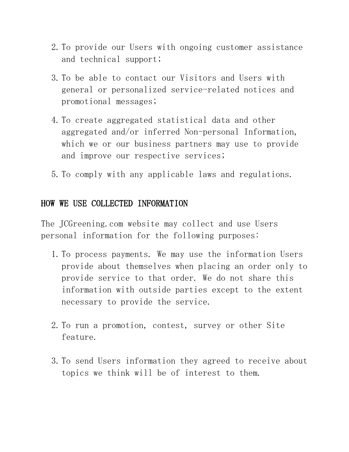- 2.To provide our Users with ongoing customer assistance and technical support;
- 3.To be able to contact our Visitors and Users with general or personalized service-related notices and promotional messages;
- 4.To create aggregated statistical data and other aggregated and/or inferred Non-personal Information, which we or our business partners may use to provide and improve our respective services;
- 5.To comply with any applicable laws and regulations.

## HOW WE USE COLLECTED INFORMATION

The JCGreening.com website may collect and use Users personal information for the following purposes:

- 1.To process payments. We may use the information Users provide about themselves when placing an order only to provide service to that order. We do not share this information with outside parties except to the extent necessary to provide the service.
- 2.To run a promotion, contest, survey or other Site feature.
- 3.To send Users information they agreed to receive about topics we think will be of interest to them.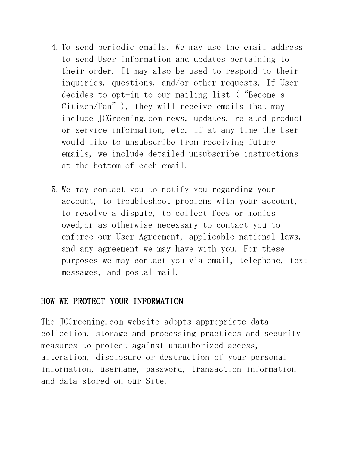- 4.To send periodic emails. We may use the email address to send User information and updates pertaining to their order. It may also be used to respond to their inquiries, questions, and/or other requests. If User decides to opt-in to our mailing list ("Become a Citizen/Fan"), they will receive emails that may include JCGreening.com news, updates, related product or service information, etc. If at any time the User would like to unsubscribe from receiving future emails, we include detailed unsubscribe instructions at the bottom of each email.
- 5.We may contact you to notify you regarding your account, to troubleshoot problems with your account, to resolve a dispute, to collect fees or monies owed,or as otherwise necessary to contact you to enforce our User Agreement, applicable national laws, and any agreement we may have with you. For these purposes we may contact you via email, telephone, text messages, and postal mail.

### HOW WE PROTECT YOUR INFORMATION

The JCGreening.com website adopts appropriate data collection, storage and processing practices and security measures to protect against unauthorized access, alteration, disclosure or destruction of your personal information, username, password, transaction information and data stored on our Site.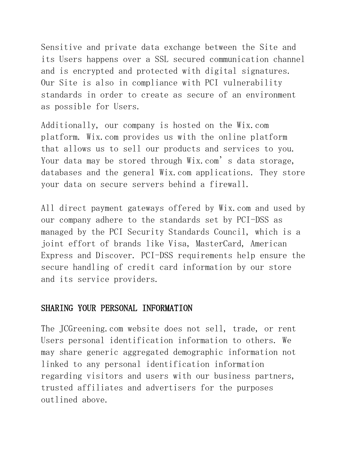Sensitive and private data exchange between the Site and its Users happens over a SSL secured communication channel and is encrypted and protected with digital signatures. Our Site is also in compliance with PCI vulnerability standards in order to create as secure of an environment as possible for Users.

Additionally, our company is hosted on the Wix.com platform. Wix.com provides us with the online platform that allows us to sell our products and services to you. Your data may be stored through Wix.com's data storage, databases and the general Wix.com applications. They store your data on secure servers behind a firewall.

All direct payment gateways offered by Wix.com and used by our company adhere to the standards set by PCI-DSS as managed by the PCI Security Standards Council, which is a joint effort of brands like Visa, MasterCard, American Express and Discover. PCI-DSS requirements help ensure the secure handling of credit card information by our store and its service providers.

### SHARING YOUR PERSONAL INFORMATION

The JCGreening.com website does not sell, trade, or rent Users personal identification information to others. We may share generic aggregated demographic information not linked to any personal identification information regarding visitors and users with our business partners, trusted affiliates and advertisers for the purposes outlined above.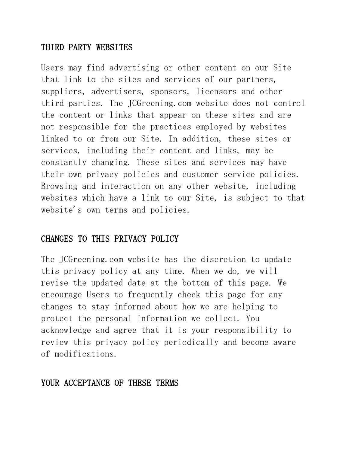## THIRD PARTY WEBSITES

Users may find advertising or other content on our Site that link to the sites and services of our partners, suppliers, advertisers, sponsors, licensors and other third parties. The JCGreening.com website does not control the content or links that appear on these sites and are not responsible for the practices employed by websites linked to or from our Site. In addition, these sites or services, including their content and links, may be constantly changing. These sites and services may have their own privacy policies and customer service policies. Browsing and interaction on any other website, including websites which have a link to our Site, is subject to that website's own terms and policies.

### CHANGES TO THIS PRIVACY POLICY

The JCGreening.com website has the discretion to update this privacy policy at any time. When we do, we will revise the updated date at the bottom of this page. We encourage Users to frequently check this page for any changes to stay informed about how we are helping to protect the personal information we collect. You acknowledge and agree that it is your responsibility to review this privacy policy periodically and become aware of modifications.

#### YOUR ACCEPTANCE OF THESE TERMS